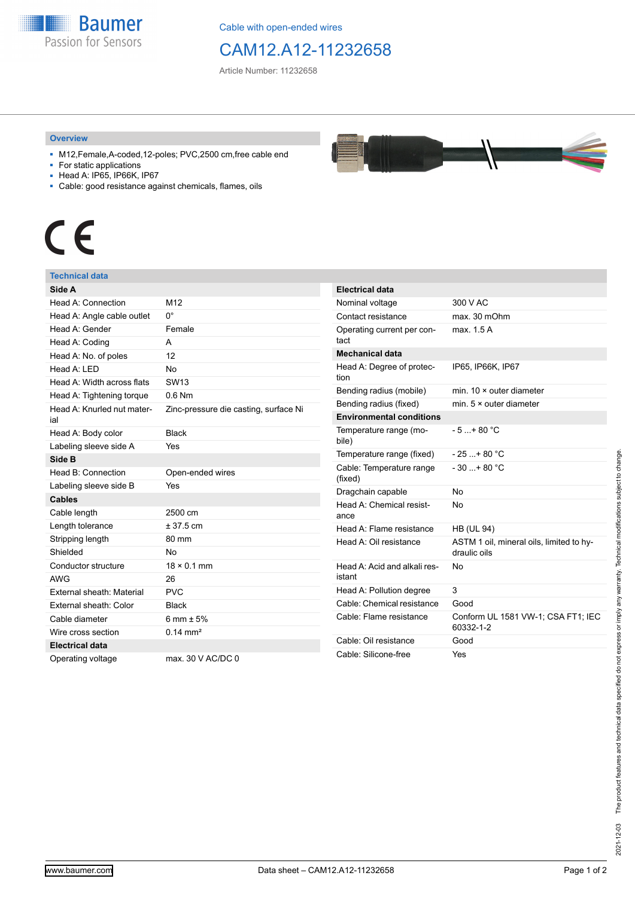

Cable with open-ended wires

### CAM12.A12-11232658

Article Number: 11232658

#### **Overview**

- M12,Female,A-coded,12-poles; PVC,2500 cm,free cable end
- For static applications
- Head A: IP65, IP66K, IP67
- Cable: good resistance against chemicals, flames, oils

# $\epsilon$

### **Technical data**

| Side A                            |                                       |
|-----------------------------------|---------------------------------------|
| Head A: Connection                | M <sub>12</sub>                       |
| Head A: Angle cable outlet        | $0^{\circ}$                           |
| Head A: Gender                    | Female                                |
| Head A: Coding                    | А                                     |
| Head A: No. of poles              | 12                                    |
| Head A: I FD                      | No                                    |
| Head A: Width across flats        | SW <sub>13</sub>                      |
| Head A: Tightening torque         | $0.6$ Nm                              |
| Head A: Knurled nut mater-<br>ial | Zinc-pressure die casting, surface Ni |
| Head A: Body color                | <b>Black</b>                          |
| Labeling sleeve side A            | Yes                                   |
| Side B                            |                                       |
| Head B: Connection                | Open-ended wires                      |
| Labeling sleeve side B            | Yes                                   |
| <b>Cables</b>                     |                                       |
| Cable length                      | 2500 cm                               |
| Length tolerance                  | $± 37.5$ cm                           |
| Stripping length                  | 80 mm                                 |
| Shielded                          | No                                    |
| Conductor structure               | $18 \times 0.1$ mm                    |
| <b>AWG</b>                        | 26                                    |
| <b>External sheath: Material</b>  | <b>PVC</b>                            |
| External sheath: Color            | <b>Black</b>                          |
| Cable diameter                    | 6 mm $\pm$ 5%                         |
| Wire cross section                | $0.14 \text{ mm}^2$                   |
| <b>Electrical data</b>            |                                       |
| Operating voltage                 | max, 30 V AC/DC 0                     |

| <b>Electrical data</b>                 |                                                          |  |
|----------------------------------------|----------------------------------------------------------|--|
| Nominal voltage                        | 300 V AC                                                 |  |
| Contact resistance                     | max. 30 mOhm                                             |  |
| Operating current per con-<br>tact     | max. 1.5 A                                               |  |
| Mechanical data                        |                                                          |  |
| Head A: Degree of protec-<br>tion      | IP65, IP66K, IP67                                        |  |
| Bending radius (mobile)                | min. $10 \times$ outer diameter                          |  |
| Bending radius (fixed)                 | min. $5 \times$ outer diameter                           |  |
| <b>Environmental conditions</b>        |                                                          |  |
| Temperature range (mo-<br>bile)        | $-5 + 80 °C$                                             |  |
| Temperature range (fixed)              | $-25+80 °C$                                              |  |
| Cable: Temperature range<br>(fixed)    | $-30$ + 80 °C                                            |  |
| Dragchain capable                      | No                                                       |  |
| Head A: Chemical resist-<br>ance       | No                                                       |  |
| Head A: Flame resistance               | <b>HB (UL 94)</b>                                        |  |
|                                        |                                                          |  |
| Head A: Oil resistance                 | ASTM 1 oil, mineral oils, limited to hy-<br>draulic oils |  |
| Head A: Acid and alkali res-<br>istant | No                                                       |  |
| Head A: Pollution degree               | 3                                                        |  |
| Cable: Chemical resistance             | Good                                                     |  |
| Cable: Flame resistance                | Conform UL 1581 VW-1; CSA FT1; IEC<br>60332-1-2          |  |
| Cable: Oil resistance                  | Good                                                     |  |